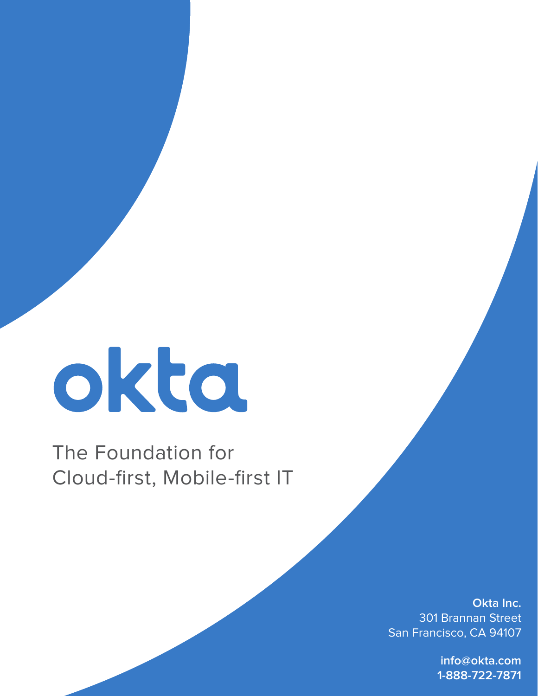# okta

## The Foundation for Cloud-first, Mobile-first IT

**Okta Inc.** 301 Brannan Street San Francisco, CA 94107

> **info@okta.com 1-888-722-7871**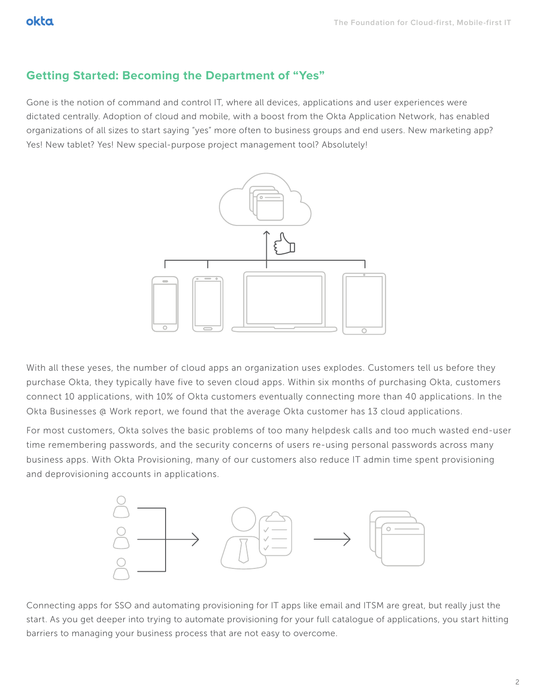### **Getting Started: Becoming the Department of "Yes"**

Gone is the notion of command and control IT, where all devices, applications and user experiences were dictated centrally. Adoption of cloud and mobile, with a boost from the Okta Application Network, has enabled organizations of all sizes to start saying "yes" more often to business groups and end users. New marketing app? Yes! New tablet? Yes! New special-purpose project management tool? Absolutely!



With all these yeses, the number of cloud apps an organization uses explodes. Customers tell us before they purchase Okta, they typically have five to seven cloud apps. Within six months of purchasing Okta, customers connect 10 applications, with 10% of Okta customers eventually connecting more than 40 applications. In the Okta Businesses @ Work report, we found that the average Okta customer has 13 cloud applications.

For most customers, Okta solves the basic problems of too many helpdesk calls and too much wasted end-user time remembering passwords, and the security concerns of users re-using personal passwords across many business apps. With Okta Provisioning, many of our customers also reduce IT admin time spent provisioning and deprovisioning accounts in applications.



Connecting apps for SSO and automating provisioning for IT apps like email and ITSM are great, but really just the start. As you get deeper into trying to automate provisioning for your full catalogue of applications, you start hitting barriers to managing your business process that are not easy to overcome.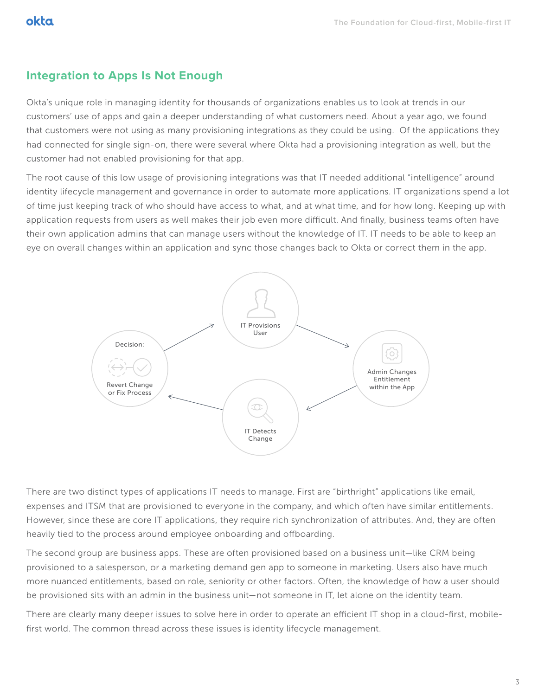#### **Integration to Apps Is Not Enough**

Okta's unique role in managing identity for thousands of organizations enables us to look at trends in our customers' use of apps and gain a deeper understanding of what customers need. About a year ago, we found that customers were not using as many provisioning integrations as they could be using. Of the applications they had connected for single sign-on, there were several where Okta had a provisioning integration as well, but the customer had not enabled provisioning for that app.

The root cause of this low usage of provisioning integrations was that IT needed additional "intelligence" around identity lifecycle management and governance in order to automate more applications. IT organizations spend a lot of time just keeping track of who should have access to what, and at what time, and for how long. Keeping up with application requests from users as well makes their job even more difficult. And finally, business teams often have their own application admins that can manage users without the knowledge of IT. IT needs to be able to keep an eye on overall changes within an application and sync those changes back to Okta or correct them in the app.



There are two distinct types of applications IT needs to manage. First are "birthright" applications like email, expenses and ITSM that are provisioned to everyone in the company, and which often have similar entitlements. However, since these are core IT applications, they require rich synchronization of attributes. And, they are often heavily tied to the process around employee onboarding and offboarding.

The second group are business apps. These are often provisioned based on a business unit—like CRM being provisioned to a salesperson, or a marketing demand gen app to someone in marketing. Users also have much more nuanced entitlements, based on role, seniority or other factors. Often, the knowledge of how a user should be provisioned sits with an admin in the business unit—not someone in IT, let alone on the identity team.

There are clearly many deeper issues to solve here in order to operate an efficient IT shop in a cloud-first, mobilefirst world. The common thread across these issues is identity lifecycle management.